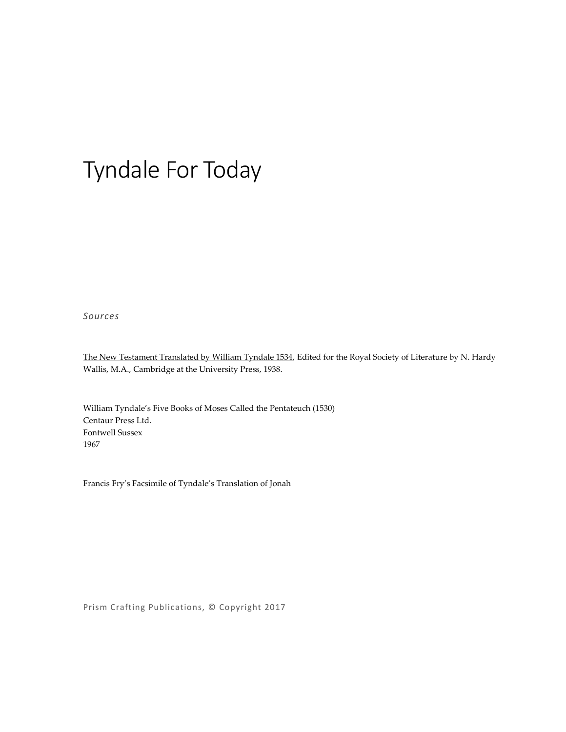# Tyndale For Today

*Sources*

The New Testament Translated by William Tyndale 1534, Edited for the Royal Society of Literature by N. Hardy Wallis, M.A., Cambridge at the University Press, 1938.

William Tyndale's Five Books of Moses Called the Pentateuch (1530) Centaur Press Ltd. Fontwell Sussex 1967

Francis Fry's Facsimile of Tyndale's Translation of Jonah

Prism Crafting Publications, © Copyright 2017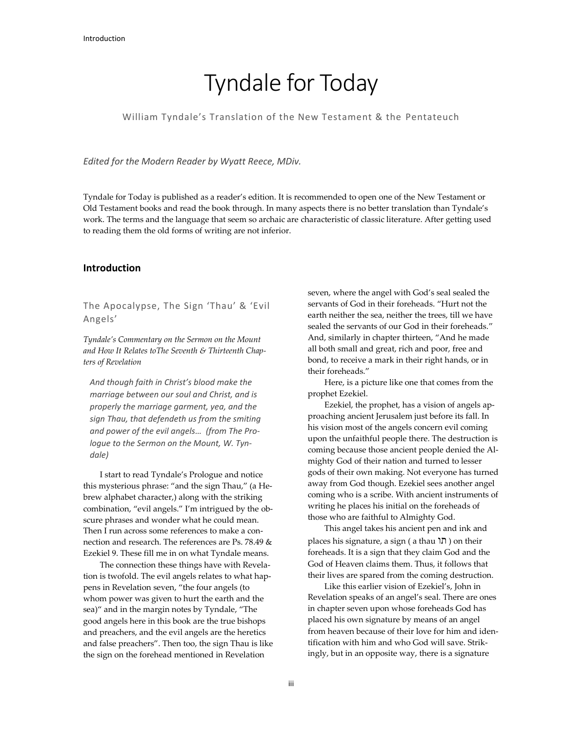# Tyndale for Today

William Tyndale's Translation of the New Testament & the Pentateuch

*Edited for the Modern Reader by Wyatt Reece, MDiv.*

Tyndale for Today is published as a reader's edition. It is recommended to open one of the New Testament or Old Testament books and read the book through. In many aspects there is no better translation than Tyndale's work. The terms and the language that seem so archaic are characteristic of classic literature. After getting used to reading them the old forms of writing are not inferior.

## **Introduction**

The Apocalypse, The Sign 'Thau' & 'Evil Angels'

*Tyndale's Commentary on the Sermon on the Mount and How It Relates toThe Seventh & Thirteenth Chapters of Revelation*

*And though faith in Christ's blood make the marriage between our soul and Christ, and is properly the marriage garment, yea, and the sign Thau, that defendeth us from the smiting and power of the evil angels… (from The Prologue to the Sermon on the Mount, W. Tyndale)*

I start to read Tyndale's Prologue and notice this mysterious phrase: "and the sign Thau," (a Hebrew alphabet character,) along with the striking combination, "evil angels." I'm intrigued by the obscure phrases and wonder what he could mean. Then I run across some references to make a connection and research. The references are Ps. 78.49 & Ezekiel 9. These fill me in on what Tyndale means.

The connection these things have with Revelation is twofold. The evil angels relates to what happens in Revelation seven, "the four angels (to whom power was given to hurt the earth and the sea)" and in the margin notes by Tyndale, "The good angels here in this book are the true bishops and preachers, and the evil angels are the heretics and false preachers". Then too, the sign Thau is like the sign on the forehead mentioned in Revelation

seven, where the angel with God's seal sealed the servants of God in their foreheads. "Hurt not the earth neither the sea, neither the trees, till we have sealed the servants of our God in their foreheads." And, similarly in chapter thirteen, "And he made all both small and great, rich and poor, free and bond, to receive a mark in their right hands, or in their foreheads."

Here, is a picture like one that comes from the prophet Ezekiel.

Ezekiel, the prophet, has a vision of angels approaching ancient Jerusalem just before its fall. In his vision most of the angels concern evil coming upon the unfaithful people there. The destruction is coming because those ancient people denied the Almighty God of their nation and turned to lesser gods of their own making. Not everyone has turned away from God though. Ezekiel sees another angel coming who is a scribe. With ancient instruments of writing he places his initial on the foreheads of those who are faithful to Almighty God.

This angel takes his ancient pen and ink and places his signature, a sign ( a thau תו ( תו (  $\pi$ ) n their foreheads. It is a sign that they claim God and the God of Heaven claims them. Thus, it follows that their lives are spared from the coming destruction.

Like this earlier vision of Ezekiel's, John in Revelation speaks of an angel's seal. There are ones in chapter seven upon whose foreheads God has placed his own signature by means of an angel from heaven because of their love for him and identification with him and who God will save. Strikingly, but in an opposite way, there is a signature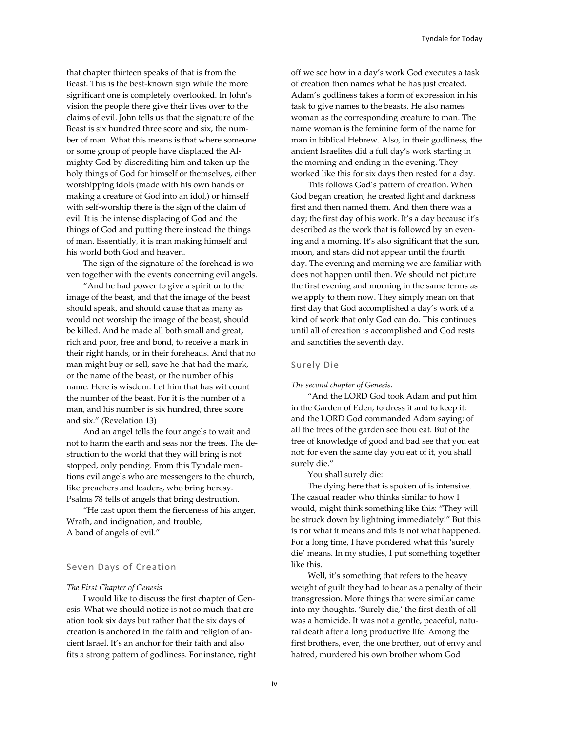that chapter thirteen speaks of that is from the Beast. This is the best-known sign while the more significant one is completely overlooked. In John's vision the people there give their lives over to the claims of evil. John tells us that the signature of the Beast is six hundred three score and six, the number of man. What this means is that where someone or some group of people have displaced the Almighty God by discrediting him and taken up the holy things of God for himself or themselves, either worshipping idols (made with his own hands or making a creature of God into an idol,) or himself with self-worship there is the sign of the claim of evil. It is the intense displacing of God and the things of God and putting there instead the things of man. Essentially, it is man making himself and his world both God and heaven.

The sign of the signature of the forehead is woven together with the events concerning evil angels.

"And he had power to give a spirit unto the image of the beast, and that the image of the beast should speak, and should cause that as many as would not worship the image of the beast, should be killed. And he made all both small and great, rich and poor, free and bond, to receive a mark in their right hands, or in their foreheads. And that no man might buy or sell, save he that had the mark, or the name of the beast, or the number of his name. Here is wisdom. Let him that has wit count the number of the beast. For it is the number of a man, and his number is six hundred, three score and six." (Revelation 13)

And an angel tells the four angels to wait and not to harm the earth and seas nor the trees. The destruction to the world that they will bring is not stopped, only pending. From this Tyndale mentions evil angels who are messengers to the church, like preachers and leaders, who bring heresy. Psalms 78 tells of angels that bring destruction.

"He cast upon them the fierceness of his anger, Wrath, and indignation, and trouble, A band of angels of evil."

### Seven Days of Creation

#### *The First Chapter of Genesis*

I would like to discuss the first chapter of Genesis. What we should notice is not so much that creation took six days but rather that the six days of creation is anchored in the faith and religion of ancient Israel. It's an anchor for their faith and also fits a strong pattern of godliness. For instance, right

off we see how in a day's work God executes a task of creation then names what he has just created. Adam's godliness takes a form of expression in his task to give names to the beasts. He also names woman as the corresponding creature to man. The name woman is the feminine form of the name for man in biblical Hebrew. Also, in their godliness, the ancient Israelites did a full day's work starting in the morning and ending in the evening. They worked like this for six days then rested for a day.

This follows God's pattern of creation. When God began creation, he created light and darkness first and then named them. And then there was a day; the first day of his work. It's a day because it's described as the work that is followed by an evening and a morning. It's also significant that the sun, moon, and stars did not appear until the fourth day. The evening and morning we are familiar with does not happen until then. We should not picture the first evening and morning in the same terms as we apply to them now. They simply mean on that first day that God accomplished a day's work of a kind of work that only God can do. This continues until all of creation is accomplished and God rests and sanctifies the seventh day.

### Surely Die

#### *The second chapter of Genesis.*

"And the LORD God took Adam and put him in the Garden of Eden, to dress it and to keep it: and the LORD God commanded Adam saying: of all the trees of the garden see thou eat. But of the tree of knowledge of good and bad see that you eat not: for even the same day you eat of it, you shall surely die."

You shall surely die:

The dying here that is spoken of is intensive. The casual reader who thinks similar to how I would, might think something like this: "They will be struck down by lightning immediately!" But this is not what it means and this is not what happened. For a long time, I have pondered what this 'surely die' means. In my studies, I put something together like this.

Well, it's something that refers to the heavy weight of guilt they had to bear as a penalty of their transgression. More things that were similar came into my thoughts. 'Surely die,' the first death of all was a homicide. It was not a gentle, peaceful, natural death after a long productive life. Among the first brothers, ever, the one brother, out of envy and hatred, murdered his own brother whom God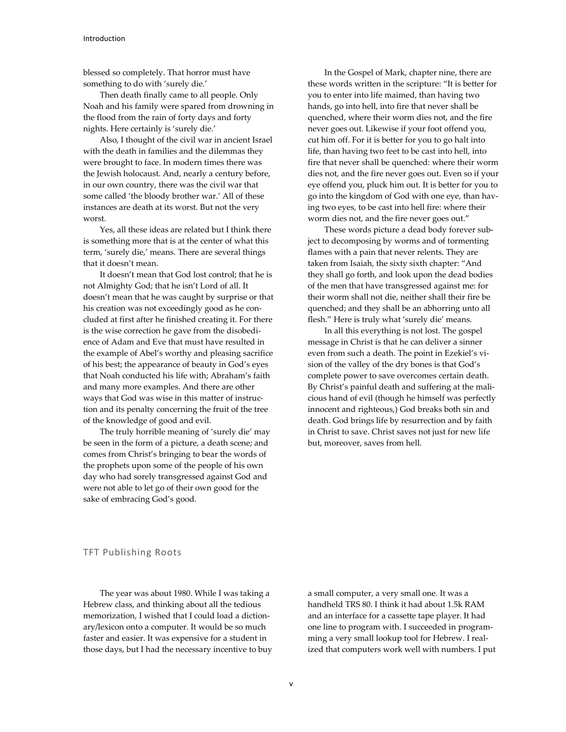blessed so completely. That horror must have something to do with 'surely die.'

Then death finally came to all people. Only Noah and his family were spared from drowning in the flood from the rain of forty days and forty nights. Here certainly is 'surely die.'

Also, I thought of the civil war in ancient Israel with the death in families and the dilemmas they were brought to face. In modern times there was the Jewish holocaust. And, nearly a century before, in our own country, there was the civil war that some called 'the bloody brother war.' All of these instances are death at its worst. But not the very worst.

Yes, all these ideas are related but I think there is something more that is at the center of what this term, 'surely die,' means. There are several things that it doesn't mean.

It doesn't mean that God lost control; that he is not Almighty God; that he isn't Lord of all. It doesn't mean that he was caught by surprise or that his creation was not exceedingly good as he concluded at first after he finished creating it. For there is the wise correction he gave from the disobedience of Adam and Eve that must have resulted in the example of Abel's worthy and pleasing sacrifice of his best; the appearance of beauty in God's eyes that Noah conducted his life with; Abraham's faith and many more examples. And there are other ways that God was wise in this matter of instruction and its penalty concerning the fruit of the tree of the knowledge of good and evil.

The truly horrible meaning of 'surely die' may be seen in the form of a picture, a death scene; and comes from Christ's bringing to bear the words of the prophets upon some of the people of his own day who had sorely transgressed against God and were not able to let go of their own good for the sake of embracing God's good.

In the Gospel of Mark, chapter nine, there are these words written in the scripture: "It is better for you to enter into life maimed, than having two hands, go into hell, into fire that never shall be quenched, where their worm dies not, and the fire never goes out. Likewise if your foot offend you, cut him off. For it is better for you to go halt into life, than having two feet to be cast into hell, into fire that never shall be quenched: where their worm dies not, and the fire never goes out. Even so if your eye offend you, pluck him out. It is better for you to go into the kingdom of God with one eye, than having two eyes, to be cast into hell fire: where their worm dies not, and the fire never goes out."

These words picture a dead body forever subject to decomposing by worms and of tormenting flames with a pain that never relents. They are taken from Isaiah, the sixty sixth chapter: "And they shall go forth, and look upon the dead bodies of the men that have transgressed against me: for their worm shall not die, neither shall their fire be quenched; and they shall be an abhorring unto all flesh." Here is truly what 'surely die' means.

In all this everything is not lost. The gospel message in Christ is that he can deliver a sinner even from such a death. The point in Ezekiel's vision of the valley of the dry bones is that God's complete power to save overcomes certain death. By Christ's painful death and suffering at the malicious hand of evil (though he himself was perfectly innocent and righteous,) God breaks both sin and death. God brings life by resurrection and by faith in Christ to save. Christ saves not just for new life but, moreover, saves from hell.

#### TFT Publishing Roots

The year was about 1980. While I was taking a Hebrew class, and thinking about all the tedious memorization, I wished that I could load a dictionary/lexicon onto a computer. It would be so much faster and easier. It was expensive for a student in those days, but I had the necessary incentive to buy a small computer, a very small one. It was a handheld TRS 80. I think it had about 1.5k RAM and an interface for a cassette tape player. It had one line to program with. I succeeded in programming a very small lookup tool for Hebrew. I realized that computers work well with numbers. I put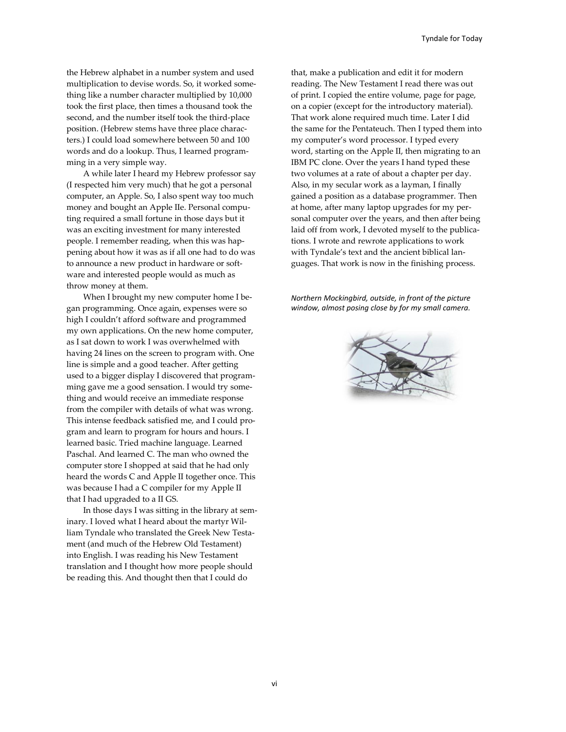the Hebrew alphabet in a number system and used multiplication to devise words. So, it worked something like a number character multiplied by 10,000 took the first place, then times a thousand took the second, and the number itself took the third-place position. (Hebrew stems have three place characters.) I could load somewhere between 50 and 100 words and do a lookup. Thus, I learned programming in a very simple way.

A while later I heard my Hebrew professor say (I respected him very much) that he got a personal computer, an Apple. So, I also spent way too much money and bought an Apple IIe. Personal computing required a small fortune in those days but it was an exciting investment for many interested people. I remember reading, when this was happening about how it was as if all one had to do was to announce a new product in hardware or software and interested people would as much as throw money at them.

When I brought my new computer home I began programming. Once again, expenses were so high I couldn't afford software and programmed my own applications. On the new home computer, as I sat down to work I was overwhelmed with having 24 lines on the screen to program with. One line is simple and a good teacher. After getting used to a bigger display I discovered that programming gave me a good sensation. I would try something and would receive an immediate response from the compiler with details of what was wrong. This intense feedback satisfied me, and I could program and learn to program for hours and hours. I learned basic. Tried machine language. Learned Paschal. And learned C. The man who owned the computer store I shopped at said that he had only heard the words C and Apple II together once. This was because I had a C compiler for my Apple II that I had upgraded to a II GS.

In those days I was sitting in the library at seminary. I loved what I heard about the martyr William Tyndale who translated the Greek New Testament (and much of the Hebrew Old Testament) into English. I was reading his New Testament translation and I thought how more people should be reading this. And thought then that I could do

that, make a publication and edit it for modern reading. The New Testament I read there was out of print. I copied the entire volume, page for page, on a copier (except for the introductory material). That work alone required much time. Later I did the same for the Pentateuch. Then I typed them into my computer's word processor. I typed every word, starting on the Apple II, then migrating to an IBM PC clone. Over the years I hand typed these two volumes at a rate of about a chapter per day. Also, in my secular work as a layman, I finally gained a position as a database programmer. Then at home, after many laptop upgrades for my personal computer over the years, and then after being laid off from work, I devoted myself to the publications. I wrote and rewrote applications to work with Tyndale's text and the ancient biblical languages. That work is now in the finishing process.

*Northern Mockingbird, outside, in front of the picture window, almost posing close by for my small camera.*

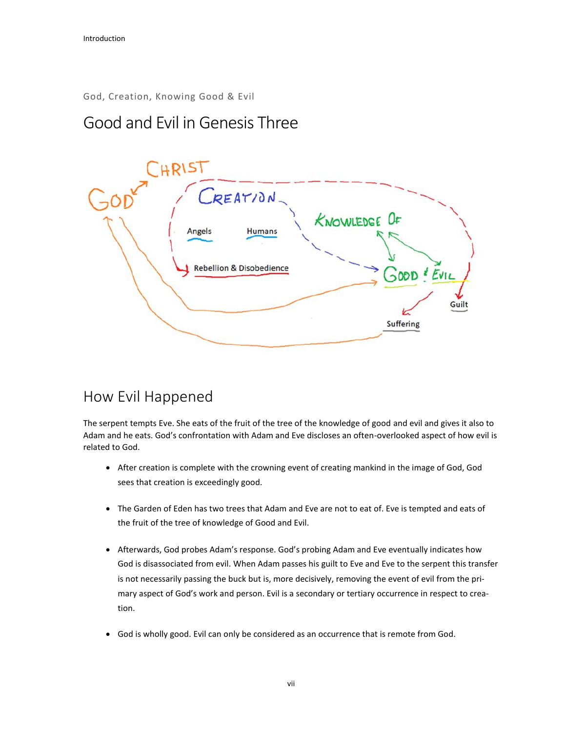God, Creation, Knowing Good & Evil

# Good and Evil in Genesis Three



# How Evil Happened

The serpent tempts Eve. She eats of the fruit of the tree of the knowledge of good and evil and gives it also to Adam and he eats. God's confrontation with Adam and Eve discloses an often-overlooked aspect of how evil is related to God.

- After creation is complete with the crowning event of creating mankind in the image of God, God sees that creation is exceedingly good.
- The Garden of Eden has two trees that Adam and Eve are not to eat of. Eve is tempted and eats of the fruit of the tree of knowledge of Good and Evil.
- Afterwards, God probes Adam's response. God's probing Adam and Eve eventually indicates how God is disassociated from evil. When Adam passes his guilt to Eve and Eve to the serpent this transfer is not necessarily passing the buck but is, more decisively, removing the event of evil from the primary aspect of God's work and person. Evil is a secondary or tertiary occurrence in respect to creation.
- God is wholly good. Evil can only be considered as an occurrence that is remote from God.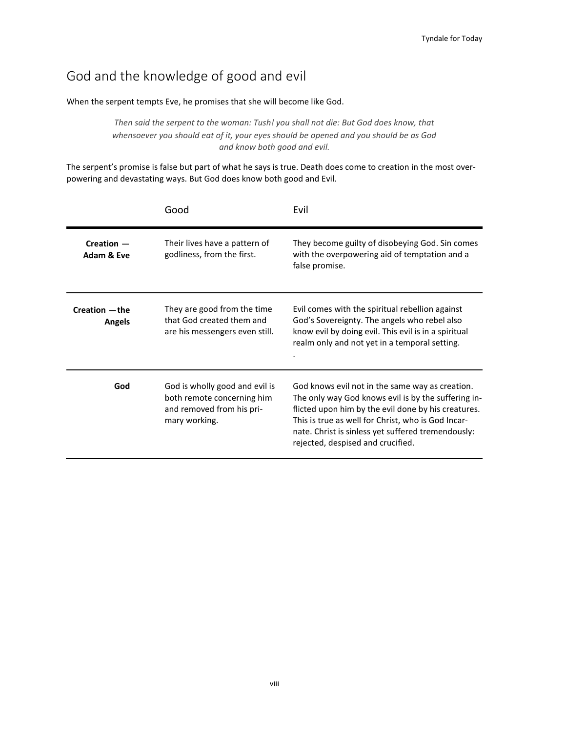# God and the knowledge of good and evil

When the serpent tempts Eve, he promises that she will become like God.

*Then said the serpent to the woman: Tush! you shall not die: But God does know, that whensoever you should eat of it, your eyes should be opened and you should be as God and know both good and evil.*

The serpent's promise is false but part of what he says is true. Death does come to creation in the most overpowering and devastating ways. But God does know both good and Evil.

|                                 | Good                                                                                                       | Evil                                                                                                                                                                                                                                                                                                           |
|---------------------------------|------------------------------------------------------------------------------------------------------------|----------------------------------------------------------------------------------------------------------------------------------------------------------------------------------------------------------------------------------------------------------------------------------------------------------------|
| $C$ reation $-$<br>Adam & Eve   | Their lives have a pattern of<br>godliness, from the first.                                                | They become guilty of disobeying God. Sin comes<br>with the overpowering aid of temptation and a<br>false promise.                                                                                                                                                                                             |
| Creation - the<br><b>Angels</b> | They are good from the time<br>that God created them and<br>are his messengers even still.                 | Evil comes with the spiritual rebellion against<br>God's Sovereignty. The angels who rebel also<br>know evil by doing evil. This evil is in a spiritual<br>realm only and not yet in a temporal setting.                                                                                                       |
| God                             | God is wholly good and evil is<br>both remote concerning him<br>and removed from his pri-<br>mary working. | God knows evil not in the same way as creation.<br>The only way God knows evil is by the suffering in-<br>flicted upon him by the evil done by his creatures.<br>This is true as well for Christ, who is God Incar-<br>nate. Christ is sinless yet suffered tremendously:<br>rejected, despised and crucified. |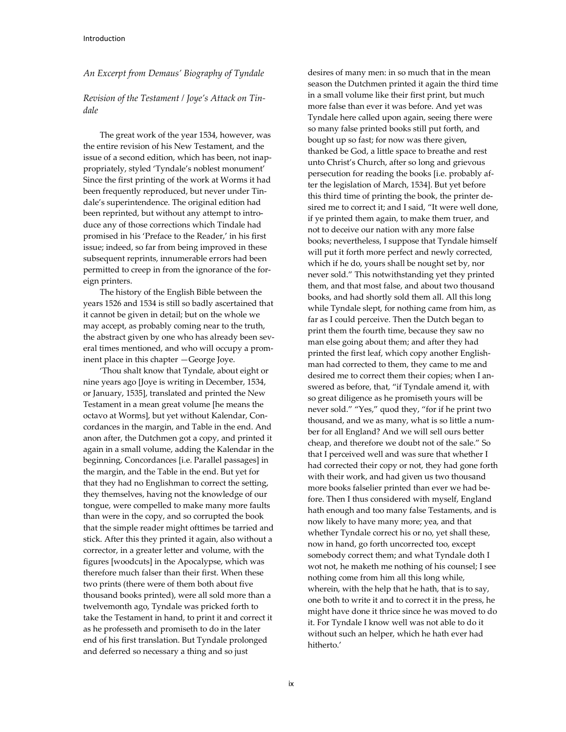### *An Excerpt from Demaus' Biography of Tyndale*

## *Revision of the Testament / Joye's Attack on Tindale*

The great work of the year 1534, however, was the entire revision of his New Testament, and the issue of a second edition, which has been, not inappropriately, styled 'Tyndale's noblest monument' Since the first printing of the work at Worms it had been frequently reproduced, but never under Tindale's superintendence. The original edition had been reprinted, but without any attempt to introduce any of those corrections which Tindale had promised in his 'Preface to the Reader,' in his first issue; indeed, so far from being improved in these subsequent reprints, innumerable errors had been permitted to creep in from the ignorance of the foreign printers.

The history of the English Bible between the years 1526 and 1534 is still so badly ascertained that it cannot be given in detail; but on the whole we may accept, as probably coming near to the truth, the abstract given by one who has already been several times mentioned, and who will occupy a prominent place in this chapter —George Joye.

'Thou shalt know that Tyndale, about eight or nine years ago [Joye is writing in December, 1534, or January, 1535], translated and printed the New Testament in a mean great volume [he means the octavo at Worms], but yet without Kalendar, Concordances in the margin, and Table in the end. And anon after, the Dutchmen got a copy, and printed it again in a small volume, adding the Kalendar in the beginning, Concordances [i.e. Parallel passages] in the margin, and the Table in the end. But yet for that they had no Englishman to correct the setting, they themselves, having not the knowledge of our tongue, were compelled to make many more faults than were in the copy, and so corrupted the book that the simple reader might ofttimes be tarried and stick. After this they printed it again, also without a corrector, in a greater letter and volume, with the figures [woodcuts] in the Apocalypse, which was therefore much falser than their first. When these two prints (there were of them both about five thousand books printed), were all sold more than a twelvemonth ago, Tyndale was pricked forth to take the Testament in hand, to print it and correct it as he professeth and promiseth to do in the later end of his first translation. But Tyndale prolonged and deferred so necessary a thing and so just

desires of many men: in so much that in the mean season the Dutchmen printed it again the third time in a small volume like their first print, but much more false than ever it was before. And yet was Tyndale here called upon again, seeing there were so many false printed books still put forth, and bought up so fast; for now was there given, thanked be God, a little space to breathe and rest unto Christ's Church, after so long and grievous persecution for reading the books [i.e. probably after the legislation of March, 1534]. But yet before this third time of printing the book, the printer desired me to correct it; and I said, "It were well done, if ye printed them again, to make them truer, and not to deceive our nation with any more false books; nevertheless, I suppose that Tyndale himself will put it forth more perfect and newly corrected, which if he do, yours shall be nought set by, nor never sold." This notwithstanding yet they printed them, and that most false, and about two thousand books, and had shortly sold them all. All this long while Tyndale slept, for nothing came from him, as far as I could perceive. Then the Dutch began to print them the fourth time, because they saw no man else going about them; and after they had printed the first leaf, which copy another Englishman had corrected to them, they came to me and desired me to correct them their copies; when I answered as before, that, "if Tyndale amend it, with so great diligence as he promiseth yours will be never sold." "Yes," quod they, "for if he print two thousand, and we as many, what is so little a number for all England? And we will sell ours better cheap, and therefore we doubt not of the sale." So that I perceived well and was sure that whether I had corrected their copy or not, they had gone forth with their work, and had given us two thousand more books falselier printed than ever we had before. Then I thus considered with myself, England hath enough and too many false Testaments, and is now likely to have many more; yea, and that whether Tyndale correct his or no, yet shall these, now in hand, go forth uncorrected too, except somebody correct them; and what Tyndale doth I wot not, he maketh me nothing of his counsel; I see nothing come from him all this long while, wherein, with the help that he hath, that is to say, one both to write it and to correct it in the press, he might have done it thrice since he was moved to do it. For Tyndale I know well was not able to do it without such an helper, which he hath ever had hitherto.'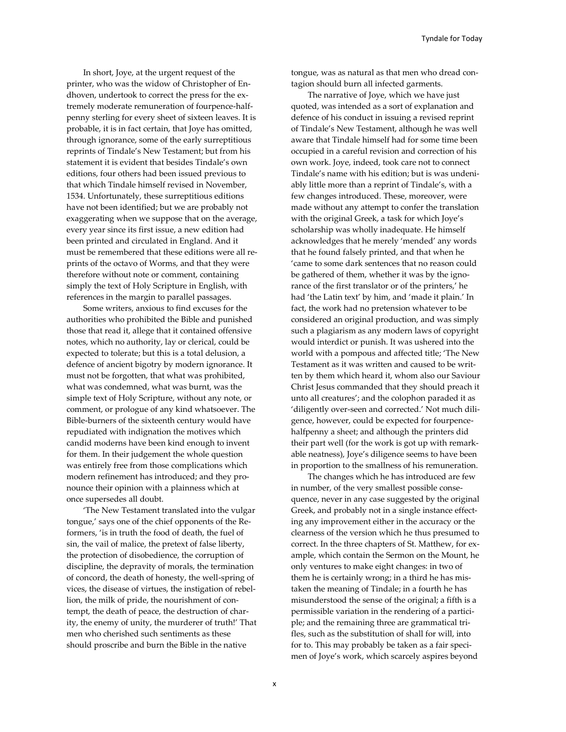In short, Joye, at the urgent request of the printer, who was the widow of Christopher of Endhoven, undertook to correct the press for the extremely moderate remuneration of fourpence-halfpenny sterling for every sheet of sixteen leaves. It is probable, it is in fact certain, that Joye has omitted, through ignorance, some of the early surreptitious reprints of Tindale's New Testament; but from his statement it is evident that besides Tindale's own editions, four others had been issued previous to that which Tindale himself revised in November, 1534. Unfortunately, these surreptitious editions have not been identified; but we are probably not exaggerating when we suppose that on the average, every year since its first issue, a new edition had been printed and circulated in England. And it must be remembered that these editions were all reprints of the octavo of Worms, and that they were therefore without note or comment, containing simply the text of Holy Scripture in English, with references in the margin to parallel passages.

Some writers, anxious to find excuses for the authorities who prohibited the Bible and punished those that read it, allege that it contained offensive notes, which no authority, lay or clerical, could be expected to tolerate; but this is a total delusion, a defence of ancient bigotry by modern ignorance. It must not be forgotten, that what was prohibited, what was condemned, what was burnt, was the simple text of Holy Scripture, without any note, or comment, or prologue of any kind whatsoever. The Bible-burners of the sixteenth century would have repudiated with indignation the motives which candid moderns have been kind enough to invent for them. In their judgement the whole question was entirely free from those complications which modern refinement has introduced; and they pronounce their opinion with a plainness which at once supersedes all doubt.

'The New Testament translated into the vulgar tongue,' says one of the chief opponents of the Reformers, 'is in truth the food of death, the fuel of sin, the vail of malice, the pretext of false liberty, the protection of disobedience, the corruption of discipline, the depravity of morals, the termination of concord, the death of honesty, the well-spring of vices, the disease of virtues, the instigation of rebellion, the milk of pride, the nourishment of contempt, the death of peace, the destruction of charity, the enemy of unity, the murderer of truth!' That men who cherished such sentiments as these should proscribe and burn the Bible in the native

tongue, was as natural as that men who dread contagion should burn all infected garments.

The narrative of Joye, which we have just quoted, was intended as a sort of explanation and defence of his conduct in issuing a revised reprint of Tindale's New Testament, although he was well aware that Tindale himself had for some time been occupied in a careful revision and correction of his own work. Joye, indeed, took care not to connect Tindale's name with his edition; but is was undeniably little more than a reprint of Tindale's, with a few changes introduced. These, moreover, were made without any attempt to confer the translation with the original Greek, a task for which Joye's scholarship was wholly inadequate. He himself acknowledges that he merely 'mended' any words that he found falsely printed, and that when he 'came to some dark sentences that no reason could be gathered of them, whether it was by the ignorance of the first translator or of the printers,' he had 'the Latin text' by him, and 'made it plain.' In fact, the work had no pretension whatever to be considered an original production, and was simply such a plagiarism as any modern laws of copyright would interdict or punish. It was ushered into the world with a pompous and affected title; 'The New Testament as it was written and caused to be written by them which heard it, whom also our Saviour Christ Jesus commanded that they should preach it unto all creatures'; and the colophon paraded it as 'diligently over-seen and corrected.' Not much diligence, however, could be expected for fourpencehalfpenny a sheet; and although the printers did their part well (for the work is got up with remarkable neatness), Joye's diligence seems to have been in proportion to the smallness of his remuneration.

The changes which he has introduced are few in number, of the very smallest possible consequence, never in any case suggested by the original Greek, and probably not in a single instance effecting any improvement either in the accuracy or the clearness of the version which he thus presumed to correct. In the three chapters of St. Matthew, for example, which contain the Sermon on the Mount, he only ventures to make eight changes: in two of them he is certainly wrong; in a third he has mistaken the meaning of Tindale; in a fourth he has misunderstood the sense of the original; a fifth is a permissible variation in the rendering of a participle; and the remaining three are grammatical trifles, such as the substitution of shall for will, into for to. This may probably be taken as a fair specimen of Joye's work, which scarcely aspires beyond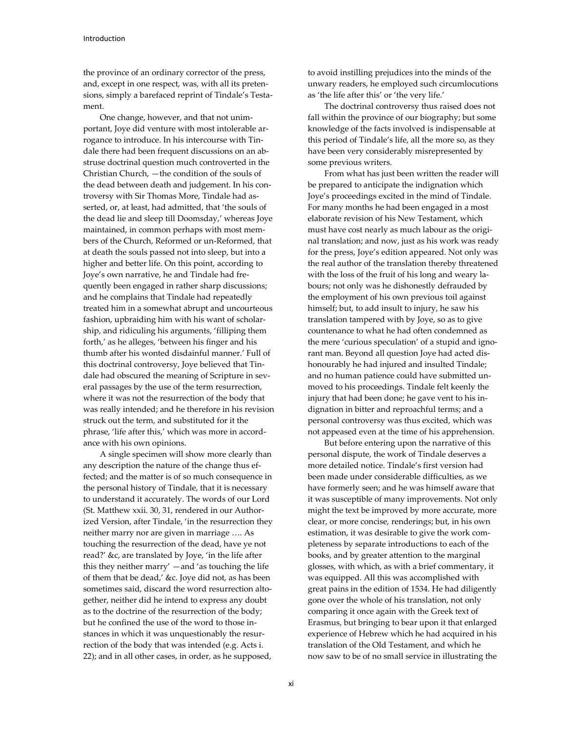the province of an ordinary corrector of the press, and, except in one respect, was, with all its pretensions, simply a barefaced reprint of Tindale's Testament.

One change, however, and that not unimportant, Joye did venture with most intolerable arrogance to introduce. In his intercourse with Tindale there had been frequent discussions on an abstruse doctrinal question much controverted in the Christian Church, —the condition of the souls of the dead between death and judgement. In his controversy with Sir Thomas More, Tindale had asserted, or, at least, had admitted, that 'the souls of the dead lie and sleep till Doomsday,' whereas Joye maintained, in common perhaps with most members of the Church, Reformed or un-Reformed, that at death the souls passed not into sleep, but into a higher and better life. On this point, according to Joye's own narrative, he and Tindale had frequently been engaged in rather sharp discussions; and he complains that Tindale had repeatedly treated him in a somewhat abrupt and uncourteous fashion, upbraiding him with his want of scholarship, and ridiculing his arguments, 'filliping them forth,' as he alleges, 'between his finger and his thumb after his wonted disdainful manner.' Full of this doctrinal controversy, Joye believed that Tindale had obscured the meaning of Scripture in several passages by the use of the term resurrection, where it was not the resurrection of the body that was really intended; and he therefore in his revision struck out the term, and substituted for it the phrase, 'life after this,' which was more in accordance with his own opinions.

A single specimen will show more clearly than any description the nature of the change thus effected; and the matter is of so much consequence in the personal history of Tindale, that it is necessary to understand it accurately. The words of our Lord (St. Matthew xxii. 30, 31, rendered in our Authorized Version, after Tindale, 'in the resurrection they neither marry nor are given in marriage …. As touching the resurrection of the dead, have ye not read?' &c, are translated by Joye, 'in the life after this they neither marry' —and 'as touching the life of them that be dead,' &c. Joye did not, as has been sometimes said, discard the word resurrection altogether, neither did he intend to express any doubt as to the doctrine of the resurrection of the body; but he confined the use of the word to those instances in which it was unquestionably the resurrection of the body that was intended (e.g. Acts i. 22); and in all other cases, in order, as he supposed,

to avoid instilling prejudices into the minds of the unwary readers, he employed such circumlocutions as 'the life after this' or 'the very life.'

The doctrinal controversy thus raised does not fall within the province of our biography; but some knowledge of the facts involved is indispensable at this period of Tindale's life, all the more so, as they have been very considerably misrepresented by some previous writers.

From what has just been written the reader will be prepared to anticipate the indignation which Joye's proceedings excited in the mind of Tindale. For many months he had been engaged in a most elaborate revision of his New Testament, which must have cost nearly as much labour as the original translation; and now, just as his work was ready for the press, Joye's edition appeared. Not only was the real author of the translation thereby threatened with the loss of the fruit of his long and weary labours; not only was he dishonestly defrauded by the employment of his own previous toil against himself; but, to add insult to injury, he saw his translation tampered with by Joye, so as to give countenance to what he had often condemned as the mere 'curious speculation' of a stupid and ignorant man. Beyond all question Joye had acted dishonourably he had injured and insulted Tindale; and no human patience could have submitted unmoved to his proceedings. Tindale felt keenly the injury that had been done; he gave vent to his indignation in bitter and reproachful terms; and a personal controversy was thus excited, which was not appeased even at the time of his apprehension.

But before entering upon the narrative of this personal dispute, the work of Tindale deserves a more detailed notice. Tindale's first version had been made under considerable difficulties, as we have formerly seen; and he was himself aware that it was susceptible of many improvements. Not only might the text be improved by more accurate, more clear, or more concise, renderings; but, in his own estimation, it was desirable to give the work completeness by separate introductions to each of the books, and by greater attention to the marginal glosses, with which, as with a brief commentary, it was equipped. All this was accomplished with great pains in the edition of 1534. He had diligently gone over the whole of his translation, not only comparing it once again with the Greek text of Erasmus, but bringing to bear upon it that enlarged experience of Hebrew which he had acquired in his translation of the Old Testament, and which he now saw to be of no small service in illustrating the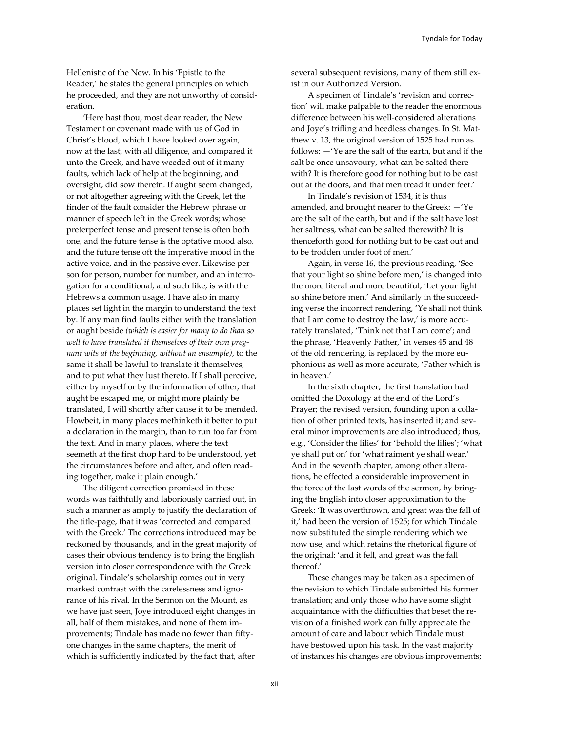Hellenistic of the New. In his 'Epistle to the Reader,' he states the general principles on which he proceeded, and they are not unworthy of consideration.

'Here hast thou, most dear reader, the New Testament or covenant made with us of God in Christ's blood, which I have looked over again, now at the last, with all diligence, and compared it unto the Greek, and have weeded out of it many faults, which lack of help at the beginning, and oversight, did sow therein. If aught seem changed, or not altogether agreeing with the Greek, let the finder of the fault consider the Hebrew phrase or manner of speech left in the Greek words; whose preterperfect tense and present tense is often both one, and the future tense is the optative mood also, and the future tense oft the imperative mood in the active voice, and in the passive ever. Likewise person for person, number for number, and an interrogation for a conditional, and such like, is with the Hebrews a common usage. I have also in many places set light in the margin to understand the text by. If any man find faults either with the translation or aught beside *(which is easier for many to do than so well to have translated it themselves of their own pregnant wits at the beginning, without an ensample)*, to the same it shall be lawful to translate it themselves, and to put what they lust thereto. If I shall perceive, either by myself or by the information of other, that aught be escaped me, or might more plainly be translated, I will shortly after cause it to be mended. Howbeit, in many places methinketh it better to put a declaration in the margin, than to run too far from the text. And in many places, where the text seemeth at the first chop hard to be understood, yet the circumstances before and after, and often reading together, make it plain enough.'

The diligent correction promised in these words was faithfully and laboriously carried out, in such a manner as amply to justify the declaration of the title-page, that it was 'corrected and compared with the Greek.' The corrections introduced may be reckoned by thousands, and in the great majority of cases their obvious tendency is to bring the English version into closer correspondence with the Greek original. Tindale's scholarship comes out in very marked contrast with the carelessness and ignorance of his rival. In the Sermon on the Mount, as we have just seen, Joye introduced eight changes in all, half of them mistakes, and none of them improvements; Tindale has made no fewer than fiftyone changes in the same chapters, the merit of which is sufficiently indicated by the fact that, after

several subsequent revisions, many of them still exist in our Authorized Version.

A specimen of Tindale's 'revision and correction' will make palpable to the reader the enormous difference between his well-considered alterations and Joye's trifling and heedless changes. In St. Matthew v. 13, the original version of 1525 had run as follows: —'Ye are the salt of the earth, but and if the salt be once unsavoury, what can be salted therewith? It is therefore good for nothing but to be cast out at the doors, and that men tread it under feet.'

In Tindale's revision of 1534, it is thus amended, and brought nearer to the Greek: —'Ye are the salt of the earth, but and if the salt have lost her saltness, what can be salted therewith? It is thenceforth good for nothing but to be cast out and to be trodden under foot of men.'

Again, in verse 16, the previous reading, 'See that your light so shine before men,' is changed into the more literal and more beautiful, 'Let your light so shine before men.' And similarly in the succeeding verse the incorrect rendering, 'Ye shall not think that I am come to destroy the law,' is more accurately translated, 'Think not that I am come'; and the phrase, 'Heavenly Father,' in verses 45 and 48 of the old rendering, is replaced by the more euphonious as well as more accurate, 'Father which is in heaven.'

In the sixth chapter, the first translation had omitted the Doxology at the end of the Lord's Prayer; the revised version, founding upon a collation of other printed texts, has inserted it; and several minor improvements are also introduced; thus, e.g., 'Consider the lilies' for 'behold the lilies'; 'what ye shall put on' for 'what raiment ye shall wear.' And in the seventh chapter, among other alterations, he effected a considerable improvement in the force of the last words of the sermon, by bringing the English into closer approximation to the Greek: 'It was overthrown, and great was the fall of it,' had been the version of 1525; for which Tindale now substituted the simple rendering which we now use, and which retains the rhetorical figure of the original: 'and it fell, and great was the fall thereof.'

These changes may be taken as a specimen of the revision to which Tindale submitted his former translation; and only those who have some slight acquaintance with the difficulties that beset the revision of a finished work can fully appreciate the amount of care and labour which Tindale must have bestowed upon his task. In the vast majority of instances his changes are obvious improvements;